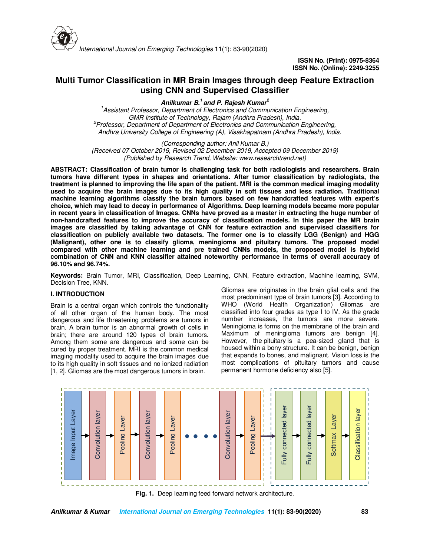

# **Multi Tumor Classification in MR Brain Images through deep Feature Extraction using CNN and Supervised Classifier**

**Anilkumar B.<sup>1</sup>and P. Rajesh Kumar<sup>2</sup>**

*<sup>1</sup>Assistant Professor, Department of Electronics and Communication Engineering, GMR Institute of Technology, Rajam (Andhra Pradesh), India. <sup>2</sup>Professor, Department of Department of Electronics and Communication Engineering, Andhra University College of Engineering (A), Visakhapatnam (Andhra Pradesh), India.* 

*(Corresponding author: Anil Kumar B.)* 

*(Received 07 October 2019, Revised 02 December 2019, Accepted 09 December 2019) (Published by Research Trend, Website: www.researchtrend.net)* 

**ABSTRACT: Classification of brain tumor is challenging task for both radiologists and researchers. Brain tumors have different types in shapes and orientations. After tumor classification by radiologists, the treatment is planned to improving the life span of the patient. MRI is the common medical imaging modality used to acquire the brain images due to its high quality in soft tissues and less radiation. Traditional machine learning algorithms classify the brain tumors based on few handcrafted features with expert's choice, which may lead to decay in performance of Algorithms. Deep learning models became more popular in recent years in classification of Images. CNNs have proved as a master in extracting the huge number of non-handcrafted features to improve the accuracy of classification models. In this paper the MR brain images are classified by taking advantage of CNN for feature extraction and supervised classifiers for classification on publicly available two datasets. The former one is to classify LGG (Benign) and HGG (Malignant), other one is to classify glioma, meningioma and pituitary tumors. The proposed model compared with other machine learning and pre trained CNNs models, the proposed model is hybrid combination of CNN and KNN classifier attained noteworthy performance in terms of overall accuracy of 96.10% and 96.74%.** 

**Keywords:** Brain Tumor, MRI, Classification, Deep Learning, CNN, Feature extraction, Machine learning, SVM, Decision Tree, KNN.

# **I. INTRODUCTION**

Brain is a central organ which controls the functionality of all other organ of the human body. The most dangerous and life threatening problems are tumors in brain. A brain tumor is an abnormal growth of cells in brain; there are around 120 types of brain tumors. Among them some are dangerous and some can be cured by proper treatment. MRI is the common medical imaging modality used to acquire the brain images due to its high quality in soft tissues and no ionized radiation [1, 2]. Gliomas are the most dangerous tumors in brain.

Gliomas are originates in the brain glial cells and the most predominant type of brain tumors [3]. According to WHO (World Health Organization) Gliomas are classified into four grades as type I to IV. As the grade number increases, the tumors are more severe. Meningioma is forms on the membrane of the brain and Maximum of meningioma tumors are benign [4]. However, the pituitary is a pea-sized gland that is housed within a bony structure. It can be benign, benign that expands to bones, and malignant. Vision loss is the most complications of pituitary tumors and cause permanent hormone deficiency also [5].



**Fig. 1.** Deep learning feed forward network architecture.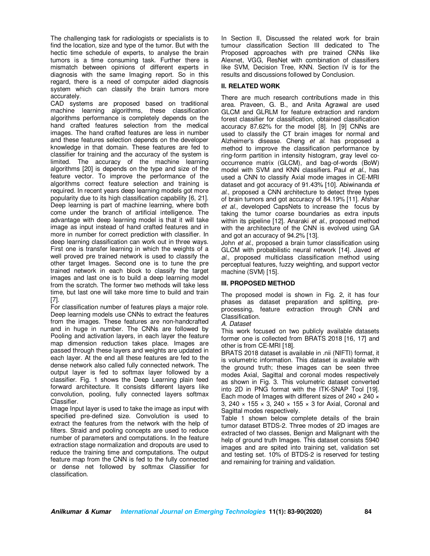The challenging task for radiologists or specialists is to find the location, size and type of the tumor. But with the hectic time schedule of experts, to analyse the brain tumors is a time consuming task. Further there is mismatch between opinions of different experts in diagnosis with the same Imaging report. So in this regard, there is a need of computer aided diagnosis system which can classify the brain tumors more accurately.

CAD systems are proposed based on traditional machine learning algorithms, these classification algorithms performance is completely depends on the hand crafted features selection from the medical images. The hand crafted features are less in number and these features selection depends on the developer knowledge in that domain. These features are fed to classifier for training and the accuracy of the system is limited. The accuracy of the machine learning algorithms [20] is depends on the type and size of the feature vector. To improve the performance of the algorithms correct feature selection and training is required. In recent years deep learning models got more popularity due to its high classification capability [6, 21]. Deep learning is part of machine learning, where both come under the branch of artificial intelligence. The advantage with deep learning model is that it will take image as input instead of hand crafted features and in more in number for correct prediction with classifier. In deep learning classification can work out in three ways. First one is transfer learning in which the weights of a well proved pre trained network is used to classify the other target Images. Second one is to tune the pre trained network in each block to classify the target images and last one is to build a deep learning model from the scratch. The former two methods will take less time, but last one will take more time to build and train [7].

For classification number of features plays a major role. Deep learning models use CNNs to extract the features from the images. These features are non-handcrafted and in huge in number. The CNNs are followed by Pooling and activation layers, in each layer the feature map dimension reduction takes place. Images are passed through these layers and weights are updated in each layer. At the end all these features are fed to the dense network also called fully connected network. The output layer is fed to softmax layer followed by a classifier. Fig. 1 shows the Deep Learning plain feed forward architecture. It consists different layers like convolution, pooling, fully connected layers softmax Classifier.

Image Input layer is used to take the image as input with specified pre-defined size. Convolution is used to extract the features from the network with the help of filters. Straid and pooling concepts are used to reduce number of parameters and computations. In the feature extraction stage normalization and dropouts are used to reduce the training time and computations. The output feature map from the CNN is fed to the fully connected or dense net followed by softmax Classifier for classification.

In Section II, Discussed the related work for brain tumour classification Section III dedicated to The Proposed approaches with pre trained CNNs like Alexnet, VGG, ResNet with combination of classifiers like SVM, Decision Tree, KNN. Section IV is for the results and discussions followed by Conclusion.

# **II. RELATED WORK**

There are much research contributions made in this area. Praveen, G. B., and Anita Agrawal are used GLCM and GLRLM for feature extraction and random forest classifier for classification, obtained classification accuracy 87.62% for the model [8]. In [9] CNNs are used to classify the CT brain images for normal and Alzheimer's disease. Cheng *et al.* has proposed a method to improve the classification performance by ring-form partition in intensity histogram, gray level cooccurrence matrix (GLCM), and bag-of-words (BoW) model with SVM and KNN classifiers. Paul *et al.*, has used a CNN to classify Axial mode images in CE-MRI dataset and got accuracy of 91.43% [10]. Abiwinanda *et al.*, proposed a CNN architecture to detect three types of brain tumors and got accuracy of 84.19% [11]. Afshar *et al.*, developed CapsNets to increase the focus by taking the tumor coarse boundaries as extra inputs within its pipeline [12]. Anaraki *et al*., proposed method with the architecture of the CNN is evolved using GA and got an accuracy of 94.2% [13].

John *et al.*, proposed a brain tumor classification using GLCM with probabilistic neural network [14]. Javed *et al.*, proposed multiclass classification method using perceptual features, fuzzy weighting, and support vector machine (SVM) [15].

### **III. PROPOSED METHOD**

The proposed model is shown in Fig. 2, it has four phases as dataset preparation and splitting, preprocessing, feature extraction through CNN and Classification.

### *A. Dataset*

This work focused on two publicly available datasets former one is collected from BRATS 2018 [16, 17] and other is from CE-MRI [18].

BRATS 2018 dataset is available in .nii (NIFTI) format, it is volumetric information. This dataset is available with the ground truth; these images can be seen three modes Axial, Sagittal and coronal modes respectively as shown in Fig. 3. This volumetric dataset converted into 2D in PNG format with the ITK-SNAP Tool [19]. Each mode of Images with different sizes of  $240 \times 240 \times$ 3, 240 × 155 × 3, 240 × 155 × 3 for Axial, Coronal and Sagittal modes respectively.

Table 1 shown below complete details of the brain tumor dataset BTDS-2. Three modes of 2D images are extracted of two classes, Benign and Malignant with the help of ground truth Images. This dataset consists 5940 images and are spited into training set, validation set and testing set. 10% of BTDS-2 is reserved for testing and remaining for training and validation.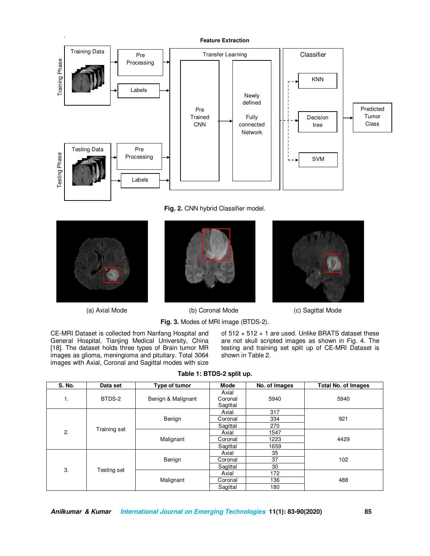

**Fig. 2.** CNN hybrid Classifier model.







(a) Axial Mode (b) Coronal Mode (c) Sagittal Mode

**Fig. 3.** Modes of MRI image (BTDS-2).

CE-MRI Dataset is collected from Nanfang Hospital and General Hospital, Tianjing Medical University, China [18]. The dataset holds three types of Brain tumor MR images as glioma, meningioma and pituitary. Total 3064 images with Axial, Coronal and Sagittal modes with size

of 512 × 512 × 1 are used. Unlike BRATS dataset these are not skull scripted images as shown in Fig. 4. The testing and training set split up of CE-MRI Dataset is shown in Table 2.

| S. No. | Data set     | Type of tumor      | Mode     | No. of Images | <b>Total No. of Images</b> |  |
|--------|--------------|--------------------|----------|---------------|----------------------------|--|
|        |              |                    | Axial    |               |                            |  |
| 1.     | BTDS-2       | Benign & Malignant | Coronal  | 5940          | 5940                       |  |
|        |              |                    | Sagittal |               |                            |  |
|        |              |                    | Axial    | 317           |                            |  |
|        |              | Benign             | Coronal  | 334           | 921                        |  |
| 2.     | Training set |                    | Sagittal | 270           |                            |  |
|        |              | Malignant          | Axial    | 1547          |                            |  |
|        |              |                    | Coronal  | 1223          | 4429                       |  |
|        |              |                    | Sagittal | 1659          |                            |  |
| 3.     |              |                    | Axial    | 35            |                            |  |
|        | Testing set  | Benign             | Coronal  | 37            | 102                        |  |
|        |              |                    | Sagittal | 30            |                            |  |
|        |              |                    | Axial    | 172           |                            |  |
|        |              | Malignant          | Coronal  | 136           | 488                        |  |
|        |              |                    | Sagittal | 180           |                            |  |

## **Table 1: BTDS-2 split up.**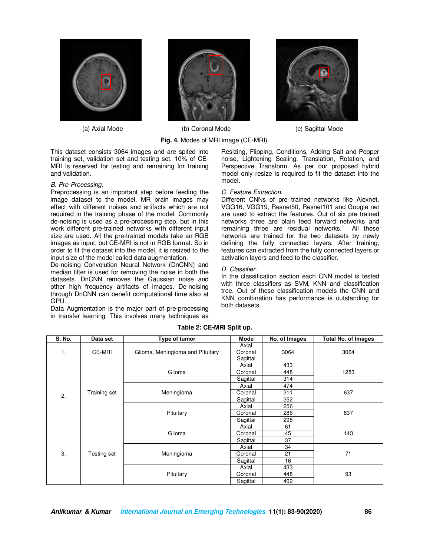





 (a) Axial Mode (b) Coronal Mode (c) Sagittal Mode **Fig. 4.** Modes of MRI image (CE-MRI).

This dataset consists 3064 images and are spited into training set, validation set and testing set. 10% of CE-MRI is reserved for testing and remaining for training and validation.

#### *B. Pre-Processing.*

Preprocessing is an important step before feeding the image dataset to the model. MR brain images may effect with different noises and artifacts which are not required in the training phase of the model. Commonly de-noising is used as a pre-processing step, but in this work different pre-trained networks with different input size are used. All the pre-trained models take an RGB images as input, but CE-MRI is not in RGB format. So in order to fit the dataset into the model, it is resized to the input size of the model called data augmentation.

De-noising Convolution Neural Network (DnCNN) and median filter is used for removing the noise in both the datasets. DnCNN removes the Gaussian noise and other high frequency artifacts of images. De-noising through DnCNN can benefit computational time also at GPU.

Data Augmentation is the major part of pre-processing in transfer learning. This involves many techniques as



Resizing, Flipping, Conditions, Adding Salt and Pepper noise, Lightening Scaling, Translation, Rotation, and Perspective Transform. As per our proposed hybrid model only resize is required to fit the dataset into the model.

#### *C. Feature Extraction.*

Different CNNs of pre trained networks like Alexnet, VGG16, VGG19, Resnet50, Resnet101 and Google net are used to extract the features. Out of six pre trained networks three are plain feed forward networks and remaining three are residual networks. All these networks are trained for the two datasets by newly defining the fully connected layers. After training, features can extracted from the fully connected layers or activation layers and feed to the classifier.

#### *D. Classifier.*

In the classification section each CNN model is tested with three classifiers as SVM, KNN and classification tree. Out of these classification models the CNN and KNN combination has performance is outstanding for both datasets.

| S. No. | Data set     | Type of tumor                    | Mode     | No. of Images | <b>Total No. of Images</b> |  |
|--------|--------------|----------------------------------|----------|---------------|----------------------------|--|
|        |              |                                  | Axial    |               |                            |  |
| 1.     | CE-MRI       | Glioma, Meningioma and Pituitary | Coronal  | 3064          | 3064                       |  |
|        |              |                                  | Sagittal |               |                            |  |
|        |              |                                  | Axial    | 433           |                            |  |
|        |              | Glioma                           | Coronal  | 448           | 1283                       |  |
|        |              |                                  | Sagittal | 314           |                            |  |
|        |              |                                  | Axial    | 474           |                            |  |
| 2.     | Training set | Meningioma                       | Coronal  | 211           | 637                        |  |
|        |              |                                  | Sagittal | 252           |                            |  |
|        |              | Pituitary                        | Axial    | 256           |                            |  |
|        |              |                                  | Coronal  | 286           | 837                        |  |
|        |              |                                  | Sagittal | 295           |                            |  |
| 3.     |              |                                  | Axial    | 61            |                            |  |
|        | Testing set  | Glioma                           | Coronal  | 45            | 143                        |  |
|        |              |                                  | Sagittal | 37            |                            |  |
|        |              |                                  | Axial    | 34            |                            |  |
|        |              | Meningioma                       | Coronal  | 21            | 71                         |  |
|        |              |                                  | Sagittal | 16            |                            |  |
|        |              |                                  | Axial    | 433           |                            |  |
|        |              | Pituitary                        | Coronal  | 448           | 93                         |  |
|        |              |                                  | Sagittal | 402           |                            |  |

#### **Table 2: CE-MRI Split up.**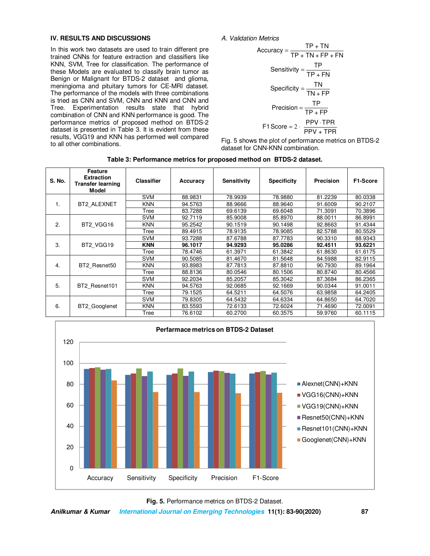### **IV. RESULTS AND DISCUSSIONS**

In this work two datasets are used to train different pre trained CNNs for feature extraction and classifiers like KNN, SVM, Tree for classification. The performance of these Models are evaluated to classify brain tumor as Benign or Malignant for BTDS-2 dataset and glioma, meningioma and pituitary tumors for CE-MRI dataset. The performance of the models with three combinations is tried as CNN and SVM, CNN and KNN and CNN and Tree. Experimentation results state that hybrid combination of CNN and KNN performance is good. The performance metrics of proposed method on BTDS-2 dataset is presented in Table 3. It is evident from these results, VGG19 and KNN has performed well compared to all other combinations.



$$
Accuracy = \frac{TP + TN}{TP + TN + FP + FN}
$$
  
\n
$$
Sensitivity = \frac{TP}{TP + FN}
$$
  
\n
$$
Specificity = \frac{TN}{TN + FP}
$$
  
\n
$$
Precision = \frac{TP}{TP + FP}
$$
  
\n
$$
F1 Score = 2 \cdot \frac{PPV \cdot TPR}{PPV + TPR}
$$

Fig. 5 shows the plot of performance metrics on BTDS-2 dataset for CNN-KNN combination.

| S. No. | <b>Feature</b><br><b>Extraction</b><br><b>Transfer learning</b><br>Model | <b>Classifier</b> | Accuracy | <b>Sensitivity</b> | <b>Specificity</b> | <b>Precision</b> | F1-Score |
|--------|--------------------------------------------------------------------------|-------------------|----------|--------------------|--------------------|------------------|----------|
|        |                                                                          | <b>SVM</b>        | 88.9831  | 78.9939            | 78.9880            | 81.2239          | 80.0338  |
| 1.     | BT2 ALEXNET                                                              | <b>KNN</b>        | 94.5763  | 88.9666            | 88.9640            | 91.6009          | 90.2107  |
|        |                                                                          | Tree              | 83.7288  | 69.6139            | 69.6048            | 71.3091          | 70.3896  |
|        |                                                                          | <b>SVM</b>        | 92.7119  | 85.9008            | 85.8970            | 88.0011          | 86.8991  |
| 2.     | BT2 VGG16                                                                | <b>KNN</b>        | 95.2542  | 90.1519            | 90.1498            | 92.8663          | 91.4344  |
|        |                                                                          | Tree              | 89.4915  | 78.9135            | 78.9085            | 82.5788          | 80.5529  |
|        | BT2 VGG19                                                                | <b>SVM</b>        | 93.7288  | 87.6788            | 87.7783            | 90.3310          | 88.9343  |
| 3.     |                                                                          | <b>KNN</b>        | 96.1017  | 94.9293            | 95.0286            | 92.4511          | 93.6221  |
|        |                                                                          | Tree              | 78.4746  | 61.3971            | 61.3842            | 61.8630          | 61.6175  |
|        | BT2 Resnet50                                                             | <b>SVM</b>        | 90.5085  | 81.4670            | 81.5648            | 84.5988          | 82.9115  |
| 4.     |                                                                          | <b>KNN</b>        | 93.8983  | 87.7813            | 87.8810            | 90.7930          | 89.1964  |
|        |                                                                          | Tree              | 88.8136  | 80.0546            | 80.1506            | 80.8740          | 80.4566  |
|        | BT2 Resnet101                                                            | <b>SVM</b>        | 92.2034  | 85.2057            | 85.3042            | 87.3684          | 86.2365  |
| 5.     |                                                                          | <b>KNN</b>        | 94.5763  | 92.0685            | 92.1669            | 90.0344          | 91.0011  |
|        |                                                                          | Tree              | 79.1525  | 64.5211            | 64.5076            | 63.9858          | 64.2405  |
|        | BT2 Googlenet                                                            | <b>SVM</b>        | 79.8305  | 64.5432            | 64.6334            | 64.8650          | 64.7020  |
| 6.     |                                                                          | <b>KNN</b>        | 83.5593  | 72.6133            | 72.6024            | 71.4690          | 72.0091  |
|        |                                                                          | Tree              | 76.6102  | 60.2700            | 60.3575            | 59.9760          | 60.1115  |



**Fig. 5.** Performance metrics on BTDS-2 Dataset.

**Anilkumar & Kumar International Journal on Emerging Technologies 11(1): 83-90(2020) 87**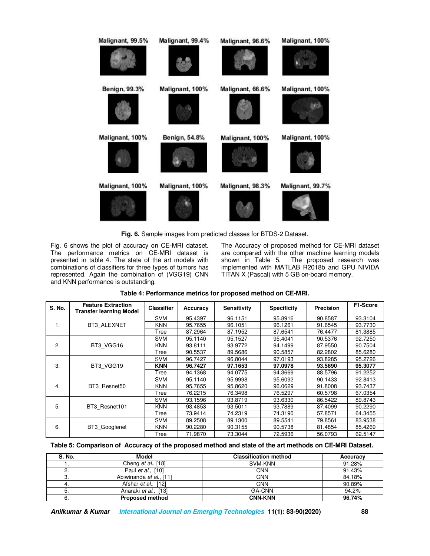

**Fig. 6.** Sample images from predicted classes for BTDS-2 Dataset.

Fig. 6 shows the plot of accuracy on CE-MRI dataset. The performance metrics on CE-MRI dataset is presented in table 4. The state of the art models with combinations of classifiers for three types of tumors has represented. Again the combination of (VGG19) CNN and KNN performance is outstanding.

The Accuracy of proposed method for CE-MRI dataset are compared with the other machine learning models<br>shown in Table 5. The proposed research was The proposed research was implemented with MATLAB R2018b and GPU NIVIDA TITAN X (Pascal) with 5 GB on-board memory.

| S. No. | <b>Feature Extraction</b><br><b>Transfer learning Model</b> | <b>Classifier</b> | Accuracy | <b>Sensitivity</b> | <b>Specificity</b> | Precision | F1-Score |
|--------|-------------------------------------------------------------|-------------------|----------|--------------------|--------------------|-----------|----------|
| 1.     | BT3_ALEXNET                                                 | <b>SVM</b>        | 95.4397  | 96.1151            | 95.8916            | 90.8587   | 93.3104  |
|        |                                                             | <b>KNN</b>        | 95.7655  | 96.1051            | 96.1261            | 91.6545   | 93.7730  |
|        |                                                             | Tree              | 87.2964  | 87.1952            | 87.6541            | 76.4477   | 81.3885  |
|        | BT3 VGG16                                                   | <b>SVM</b>        | 95.1140  | 95.1527            | 95.4041            | 90.5376   | 92.7250  |
| 2.     |                                                             | <b>KNN</b>        | 93.8111  | 93.9772            | 94.1499            | 87.9550   | 90.7504  |
|        |                                                             | Tree              | 90.5537  | 89.5686            | 90.5857            | 82.2802   | 85.6280  |
| 3.     | BT3_VGG19                                                   | <b>SVM</b>        | 96.7427  | 96.8044            | 97.0193            | 93.8285   | 95.2726  |
|        |                                                             | <b>KNN</b>        | 96.7427  | 97.1653            | 97.0978            | 93.5690   | 95.3077  |
|        |                                                             | Tree              | 94.1368  | 94.0775            | 94.3669            | 88.5796   | 91.2252  |
|        | BT3 Resnet50                                                | <b>SVM</b>        | 95.1140  | 95.9998            | 95.6092            | 90.1433   | 92.8413  |
| 4.     |                                                             | <b>KNN</b>        | 95.7655  | 95.8620            | 96.0629            | 91.8008   | 93.7437  |
|        |                                                             | Tree              | 76.2215  | 76.3498            | 76.5297            | 60.5798   | 67.0354  |
| 5.     | BT3 Resnet101                                               | <b>SVM</b>        | 93.1596  | 93.8719            | 93.6330            | 86.5422   | 89.8743  |
|        |                                                             | <b>KNN</b>        | 93.4853  | 93.5011            | 93.7889            | 87.4099   | 90.2290  |
|        |                                                             | Tree              | 73.9414  | 74.2319            | 74.3190            | 57.8571   | 64.3455  |
|        | <b>BT3 Googlenet</b>                                        | <b>SVM</b>        | 89.2508  | 89.1300            | 89.5541            | 79.8561   | 83.9538  |
| 6.     |                                                             | <b>KNN</b>        | 90.2280  | 90.3155            | 90.5738            | 81.4854   | 85.4269  |
|        |                                                             | Tree              | 71.9870  | 73.3044            | 72.5936            | 56.0793   | 62.5147  |

# **Table 4: Performance metrics for proposed method on CE-MRI.**

#### **Table 5: Comparison of Accuracy of the proposed method and state of the art methods on CE-MRI Dataset.**

| S. No. | Model                       | <b>Classification method</b> | Accuracy |
|--------|-----------------------------|------------------------------|----------|
|        | Cheng <i>et al.</i> , [18]  | SVM-KNN                      | 91.28%   |
| z.     | Paul <i>et al.</i> , [10]   | <b>CNN</b>                   | 91.43%   |
| 3.     | Abiwinanda et al., [11]     | CNN                          | 84.18%   |
| 4.     | Afshar <i>et al.</i> , [12] | CNN                          | 90.89%   |
| 5.     | Anaraki et al., [13]        | GA-CNN                       | 94.2%    |
| 6.     | <b>Proposed method</b>      | <b>CNN-KNN</b>               | 96.74%   |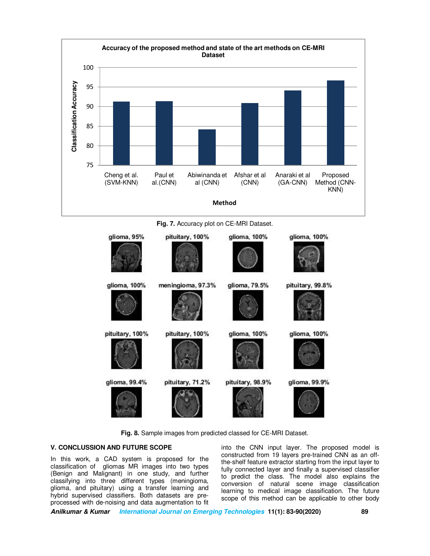

**Fig. 7.** Accuracy plot on CE-MRI Dataset.



**Fig. 8.** Sample images from predicted classed for CE-MRI Dataset.

# **V. CONCLUSSION AND FUTURE SCOPE**

In this work, a CAD system is proposed for the classification of gliomas MR images into two types (Benign and Malignant) in one study, and further classifying into three different types (meningioma, glioma, and pituitary) using a transfer learning and hybrid supervised classifiers. Both datasets are preprocessed with de-noising and data augmentation to fit into the CNN input layer. The proposed model is constructed from 19 layers pre-trained CNN as an offthe-shelf feature extractor starting from the input layer to fully connected layer and finally a supervised classifier to predict the class. The model also explains the conversion of natural scene image classification learning to medical image classification. The future scope of this method can be applicable to other body